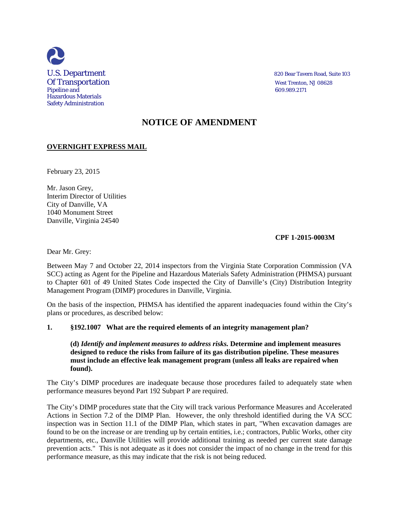

# **NOTICE OF AMENDMENT**

# **OVERNIGHT EXPRESS MAIL**

February 23, 2015

Mr. Jason Grey, Interim Director of Utilities City of Danville, VA 1040 Monument Street Danville, Virginia 24540

## **CPF 1-2015-0003M**

Dear Mr. Grey:

Between May 7 and October 22, 2014 inspectors from the Virginia State Corporation Commission (VA SCC) acting as Agent for the Pipeline and Hazardous Materials Safety Administration (PHMSA) pursuant to Chapter 601 of 49 United States Code inspected the City of Danville's (City) Distribution Integrity Management Program (DIMP) procedures in Danville, Virginia.

On the basis of the inspection, PHMSA has identified the apparent inadequacies found within the City's plans or procedures, as described below:

## **1. §192.1007 What are the required elements of an integrity management plan?**

**(d)** *Identify and implement measures to address risks.* **Determine and implement measures designed to reduce the risks from failure of its gas distribution pipeline. These measures must include an effective leak management program (unless all leaks are repaired when found).**

The City's DIMP procedures are inadequate because those procedures failed to adequately state when performance measures beyond Part 192 Subpart P are required.

The City's DIMP procedures state that the City will track various Performance Measures and Accelerated Actions in Section 7.2 of the DIMP Plan. However, the only threshold identified during the VA SCC inspection was in Section 11.1 of the DIMP Plan, which states in part, "When excavation damages are found to be on the increase or are trending up by certain entities, i.e.; contractors, Public Works, other city departments, etc., Danville Utilities will provide additional training as needed per current state damage prevention acts." This is not adequate as it does not consider the impact of no change in the trend for this performance measure, as this may indicate that the risk is not being reduced.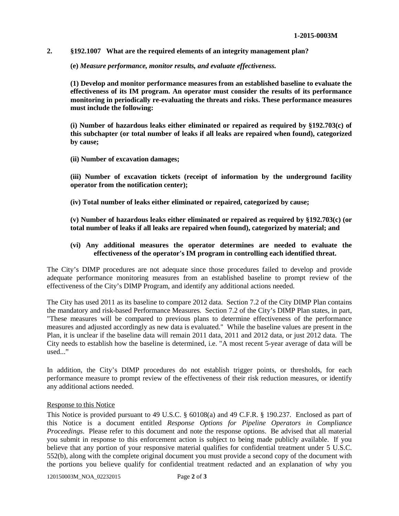#### **2. §192.1007 What are the required elements of an integrity management plan?**

**(e)** *Measure performance, monitor results, and evaluate effectiveness.*

**(1) Develop and monitor performance measures from an established baseline to evaluate the effectiveness of its IM program. An operator must consider the results of its performance monitoring in periodically re-evaluating the threats and risks. These performance measures must include the following:**

**(i) Number of hazardous leaks either eliminated or repaired as required by §192.703(c) of this subchapter (or total number of leaks if all leaks are repaired when found), categorized by cause;**

**(ii) Number of excavation damages;** 

**(iii) Number of excavation tickets (receipt of information by the underground facility operator from the notification center);**

**(iv) Total number of leaks either eliminated or repaired, categorized by cause;**

**(v) Number of hazardous leaks either eliminated or repaired as required by §192.703(c) (or total number of leaks if all leaks are repaired when found), categorized by material; and**

#### **(vi) Any additional measures the operator determines are needed to evaluate the effectiveness of the operator's IM program in controlling each identified threat.**

The City's DIMP procedures are not adequate since those procedures failed to develop and provide adequate performance monitoring measures from an established baseline to prompt review of the effectiveness of the City's DIMP Program, and identify any additional actions needed.

The City has used 2011 as its baseline to compare 2012 data. Section 7.2 of the City DIMP Plan contains the mandatory and risk-based Performance Measures. Section 7.2 of the City's DIMP Plan states, in part, "These measures will be compared to previous plans to determine effectiveness of the performance measures and adjusted accordingly as new data is evaluated." While the baseline values are present in the Plan, it is unclear if the baseline data will remain 2011 data, 2011 and 2012 data, or just 2012 data. The City needs to establish how the baseline is determined, i.e. "A most recent 5-year average of data will be used..."

In addition, the City's DIMP procedures do not establish trigger points, or thresholds, for each performance measure to prompt review of the effectiveness of their risk reduction measures, or identify any additional actions needed.

#### Response to this Notice

This Notice is provided pursuant to 49 U.S.C. § 60108(a) and 49 C.F.R. § 190.237. Enclosed as part of this Notice is a document entitled *Response Options for Pipeline Operators in Compliance Proceedings*. Please refer to this document and note the response options. Be advised that all material you submit in response to this enforcement action is subject to being made publicly available. If you believe that any portion of your responsive material qualifies for confidential treatment under 5 U.S.C. 552(b), along with the complete original document you must provide a second copy of the document with the portions you believe qualify for confidential treatment redacted and an explanation of why you

120150003M\_NOA\_02232015 Page **2** of **3**